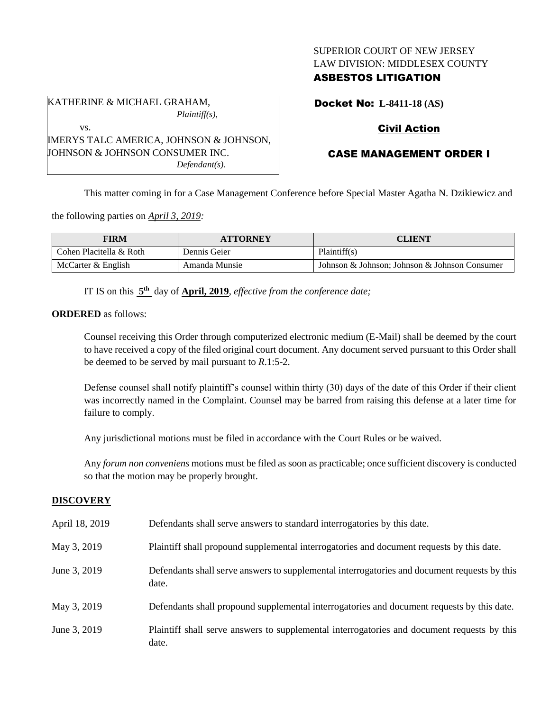## SUPERIOR COURT OF NEW JERSEY LAW DIVISION: MIDDLESEX COUNTY

## ASBESTOS LITIGATION

Docket No: **L-8411-18 (AS)**

# Civil Action

# CASE MANAGEMENT ORDER I

This matter coming in for a Case Management Conference before Special Master Agatha N. Dzikiewicz and

the following parties on *April 3, 2019:*

KATHERINE & MICHAEL GRAHAM,

JOHNSON & JOHNSON CONSUMER INC.

IMERYS TALC AMERICA, JOHNSON & JOHNSON,

vs.

| FIRM                    | <b>ATTORNEY</b> | CLIENT                                        |
|-------------------------|-----------------|-----------------------------------------------|
| Cohen Placitella & Roth | Dennis Geier    | Plaintiff(s)                                  |
| McCarter & English      | Amanda Munsie   | Johnson & Johnson; Johnson & Johnson Consumer |

IT IS on this  $5<sup>th</sup>$  day of **April, 2019**, *effective from the conference date*;

*Plaintiff(s),*

*Defendant(s).*

**ORDERED** as follows:

Counsel receiving this Order through computerized electronic medium (E-Mail) shall be deemed by the court to have received a copy of the filed original court document. Any document served pursuant to this Order shall be deemed to be served by mail pursuant to *R*.1:5-2.

Defense counsel shall notify plaintiff's counsel within thirty (30) days of the date of this Order if their client was incorrectly named in the Complaint. Counsel may be barred from raising this defense at a later time for failure to comply.

Any jurisdictional motions must be filed in accordance with the Court Rules or be waived.

Any *forum non conveniens* motions must be filed as soon as practicable; once sufficient discovery is conducted so that the motion may be properly brought.

### **DISCOVERY**

| April 18, 2019 | Defendants shall serve answers to standard interrogatories by this date.                              |
|----------------|-------------------------------------------------------------------------------------------------------|
| May 3, 2019    | Plaintiff shall propound supplemental interrogatories and document requests by this date.             |
| June 3, 2019   | Defendants shall serve answers to supplemental interrogatories and document requests by this<br>date. |
| May 3, 2019    | Defendants shall propound supplemental interrogatories and document requests by this date.            |
| June 3, 2019   | Plaintiff shall serve answers to supplemental interrogatories and document requests by this<br>date.  |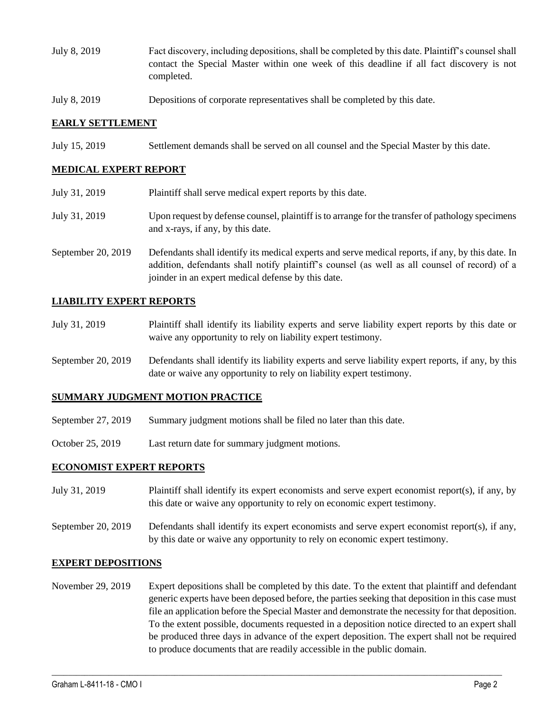- July 8, 2019 Fact discovery, including depositions, shall be completed by this date. Plaintiff's counsel shall contact the Special Master within one week of this deadline if all fact discovery is not completed.
- July 8, 2019 Depositions of corporate representatives shall be completed by this date.

### **EARLY SETTLEMENT**

July 15, 2019 Settlement demands shall be served on all counsel and the Special Master by this date.

#### **MEDICAL EXPERT REPORT**

July 31, 2019 Plaintiff shall serve medical expert reports by this date. July 31, 2019 Upon request by defense counsel, plaintiff is to arrange for the transfer of pathology specimens and x-rays, if any, by this date. September 20, 2019 Defendants shall identify its medical experts and serve medical reports, if any, by this date. In addition, defendants shall notify plaintiff's counsel (as well as all counsel of record) of a joinder in an expert medical defense by this date.

### **LIABILITY EXPERT REPORTS**

- July 31, 2019 Plaintiff shall identify its liability experts and serve liability expert reports by this date or waive any opportunity to rely on liability expert testimony.
- September 20, 2019 Defendants shall identify its liability experts and serve liability expert reports, if any, by this date or waive any opportunity to rely on liability expert testimony.

#### **SUMMARY JUDGMENT MOTION PRACTICE**

- September 27, 2019 Summary judgment motions shall be filed no later than this date.
- October 25, 2019 Last return date for summary judgment motions.

#### **ECONOMIST EXPERT REPORTS**

- July 31, 2019 Plaintiff shall identify its expert economists and serve expert economist report(s), if any, by this date or waive any opportunity to rely on economic expert testimony.
- September 20, 2019 Defendants shall identify its expert economists and serve expert economist report(s), if any, by this date or waive any opportunity to rely on economic expert testimony.

#### **EXPERT DEPOSITIONS**

November 29, 2019 Expert depositions shall be completed by this date. To the extent that plaintiff and defendant generic experts have been deposed before, the parties seeking that deposition in this case must file an application before the Special Master and demonstrate the necessity for that deposition. To the extent possible, documents requested in a deposition notice directed to an expert shall be produced three days in advance of the expert deposition. The expert shall not be required to produce documents that are readily accessible in the public domain.

 $\_$  ,  $\_$  ,  $\_$  ,  $\_$  ,  $\_$  ,  $\_$  ,  $\_$  ,  $\_$  ,  $\_$  ,  $\_$  ,  $\_$  ,  $\_$  ,  $\_$  ,  $\_$  ,  $\_$  ,  $\_$  ,  $\_$  ,  $\_$  ,  $\_$  ,  $\_$  ,  $\_$  ,  $\_$  ,  $\_$  ,  $\_$  ,  $\_$  ,  $\_$  ,  $\_$  ,  $\_$  ,  $\_$  ,  $\_$  ,  $\_$  ,  $\_$  ,  $\_$  ,  $\_$  ,  $\_$  ,  $\_$  ,  $\_$  ,